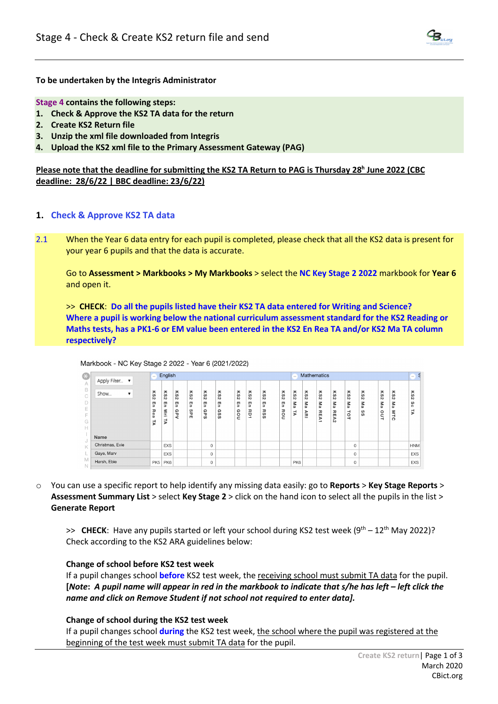

**To be undertaken by the Integris Administrator**

**Stage 4 contains the following steps:**

- **1. Check & Approve the KS2 TA data for the return**
- **2. Create KS2 Return file**
- **3. Unzip the xml file downloaded from Integris**
- **4. Upload the KS2 xml file to the Primary Assessment Gateway (PAG)**

**Please note that the deadline for submitting the KS2 TA Return to PAG is Thursday 28h June 2022 (CBC deadline: 28/6/22 | BBC deadline: 23/6/22)**

# **1. Check & Approve KS2 TA data**

2.1 When the Year 6 data entry for each pupil is completed, please check that all the KS2 data is present for your year 6 pupils and that the data is accurate.

Go to **Assessment > Markbooks > My Markbooks** > select the **NC Key Stage 2 2022** markbook for **Year 6** and open it.

>> **CHECK**: **Do all the pupils listed have their KS2 TA data entered for Writing and Science? Where a pupil is working below the national curriculum assessment standard for the KS2 Reading or Maths tests, has a PK1-6 or EM value been entered in the KS2 En Rea TA and/or KS2 Ma TA column respectively?**

| ⊛                                                 | Apply Filter<br>$\blacktriangledown$ | English                                                          |                                          |                                     |                                       |                                             |                                      |                          |                                       |                                      |                      |                               | <b>Mathematics</b>                                      |                                            |                                                     |                                                                |                                            |                           |                                                   |                                                              |  |
|---------------------------------------------------|--------------------------------------|------------------------------------------------------------------|------------------------------------------|-------------------------------------|---------------------------------------|---------------------------------------------|--------------------------------------|--------------------------|---------------------------------------|--------------------------------------|----------------------|-------------------------------|---------------------------------------------------------|--------------------------------------------|-----------------------------------------------------|----------------------------------------------------------------|--------------------------------------------|---------------------------|---------------------------------------------------|--------------------------------------------------------------|--|
| A<br>B<br>C<br>E<br>$\sim$<br><b>1-</b><br>G<br>Н | Show<br>▼                            | ΚS<br>$\overline{D}$<br>m<br>5<br>고<br>$\sigma$<br>$\alpha$<br>님 | κs<br>$\overline{v}$<br>5<br>≶<br>⊡<br>4 | ΚS<br>$\overline{v}$<br>π<br>음<br>ż | ΚS<br>$\sim$<br>m<br>ь<br>ဖ<br>Δ<br>m | 79<br>$\mathbf{v}$<br>m<br>ь<br>Ω<br>ᄀ<br>S | ΚS<br>$\overline{v}$<br>π<br>Ω<br>SS | ΚS<br>$\sim$<br>т<br>Gou | 79<br>$\sim$<br>m<br>ь<br>ᄑ<br>ö<br>∸ | ΚS<br>$\overline{v}$<br>Ŧ<br>RS<br>Ö | ΚS<br>Ñ<br>L.<br>ROU | 58<br>N<br>z<br>$\omega$<br>₹ | ᄎ<br>$\omega$<br>$\sim$<br>3<br>$\omega$<br>⋗<br>刀<br>- | ΚS<br>$\sim$<br>Μ<br>e<br>고<br>m<br>⋗<br>∸ | ΚS<br>$\sim$<br>z<br>$\omega$<br>ᠴ<br>m<br>⋗<br>ĨЮ. | ΚS<br>$\sim$<br>z<br>$\omega$<br>ᇹ<br>$\overline{\phantom{0}}$ | ΚS<br>$\sim$<br>Μa<br>$\omega$<br>$\omega$ | ΚS<br>$\sim$<br>Ma<br>out | ᅎ<br>ဖ<br>м<br>z<br>$\omega$<br>Μ<br>⊣<br>$\circ$ | ᄎ<br>$\omega$<br>$\overline{v}$<br>ဖ<br>$\circ$<br>$\vec{v}$ |  |
|                                                   | Name                                 |                                                                  |                                          |                                     |                                       |                                             |                                      |                          |                                       |                                      |                      |                               |                                                         |                                            |                                                     |                                                                |                                            |                           |                                                   |                                                              |  |
| J<br>$\ltimes$                                    | Christmas, Evie                      |                                                                  | <b>EXS</b>                               |                                     |                                       | 0                                           |                                      |                          |                                       |                                      |                      |                               |                                                         |                                            |                                                     | $\mathbf{0}$                                                   |                                            |                           |                                                   | <b>HNM</b>                                                   |  |
|                                                   | Gaye, Marv                           |                                                                  | <b>EXS</b>                               |                                     |                                       | 0                                           |                                      |                          |                                       |                                      |                      |                               |                                                         |                                            |                                                     | $\mathbf 0$                                                    |                                            |                           |                                                   | <b>EXS</b>                                                   |  |
| M<br>$\mathbb N$                                  | Harsh, Ebie                          | PK <sub>5</sub>                                                  | PK6                                      |                                     |                                       | 0                                           |                                      |                          |                                       |                                      |                      | PK6                           |                                                         |                                            |                                                     | 0                                                              |                                            |                           |                                                   | EXS                                                          |  |

Markbook - NC Key Stage 2 2022 - Year 6 (2021/2022)

o You can use a specific report to help identify any missing data easily: go to **Reports** > **Key Stage Reports** > **Assessment Summary List** > select **Key Stage 2** > click on the hand icon to select all the pupils in the list > **Generate Report**

 $\gg$  **CHECK**: Have any pupils started or left your school during KS2 test week (9<sup>th</sup> – 12<sup>th</sup> May 2022)? Check according to the KS2 ARA guidelines below:

## **Change of school before KS2 test week**

If a pupil changes school **before** KS2 test week, the receiving school must submit TA data for the pupil. **[***Note***:** *A pupil name will appear in red in the markbook to indicate that s/he has left – left click the name and click on Remove Student if not school not required to enter data].*

## **Change of school during the KS2 test week**

If a pupil changes school **during** the KS2 test week, the school where the pupil was registered at the beginning of the test week must submit TA data for the pupil.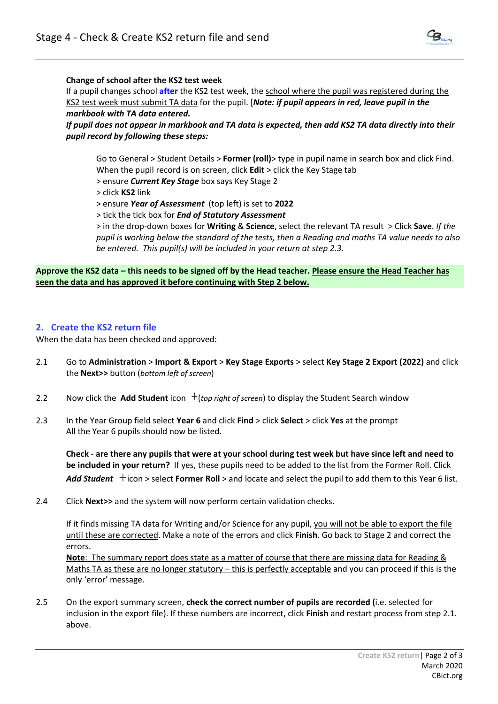

## **Change of school after the KS2 test week**

If a pupil changes school **after** the KS2 test week, the school where the pupil was registered during the KS2 test week must submit TA data for the pupil. [*Note: if pupil appears in red, leave pupil in the markbook with TA data entered.* 

*If pupil does not appear in markbook and TA data is expected, then add KS2 TA data directly into their pupil record by following these steps:*

Go to General > Student Details > **Former (roll)**> type in pupil name in search box and click Find. When the pupil record is on screen, click **Edit** > click the Key Stage tab

> ensure *Current Key Stage* box says Key Stage 2

> click **KS2** link

> ensure *Year of Assessment* (top left) is set to **2022**

> tick the tick box for *End of Statutory Assessment* 

> in the drop-down boxes for **Writing** & **Science**, select the relevant TA result > Click **Save**. *If the pupil is working below the standard of the tests, then a Reading and maths TA value needs to also be entered. This pupil(s) will be included in your return at step 2.3.*

**Approve the KS2 data – this needs to be signed off by the Head teacher. Please ensure the Head Teacher has seen the data and has approved it before continuing with Step 2 below.**

# **2. Create the KS2 return file**

When the data has been checked and approved:

- 2.1 Go to **Administration** > **Import & Export** > **Key Stage Exports** > select **Key Stage 2 Export (2022)** and click the **Next>>** button (*bottom left of screen*)
- 2.2 Now click the Add Student icon  $+$  (*top right of screen*) to display the Student Search window
- 2.3 In the Year Group field select **Year 6** and click **Find** > click **Select** > click **Yes** at the prompt All the Year 6 pupils should now be listed.

**Check** - **are there any pupils that were at your school during test week but have since left and need to be included in your return?** If yes, these pupils need to be added to the list from the Former Roll. Click Add Student  $+$  icon > select **Former Roll** > and locate and select the pupil to add them to this Year 6 list.

2.4 Click **Next>>** and the system will now perform certain validation checks.

If it finds missing TA data for Writing and/or Science for any pupil, you will not be able to export the file until these are corrected. Make a note of the errors and click **Finish**. Go back to Stage 2 and correct the errors.

**Note**: The summary report does state as a matter of course that there are missing data for Reading & Maths TA as these are no longer statutory – this is perfectly acceptable and you can proceed if this is the only 'error' message.

2.5 On the export summary screen, **check the correct number of pupils are recorded (**i.e. selected for inclusion in the export file). If these numbers are incorrect, click **Finish** and restart process from step 2.1. above.